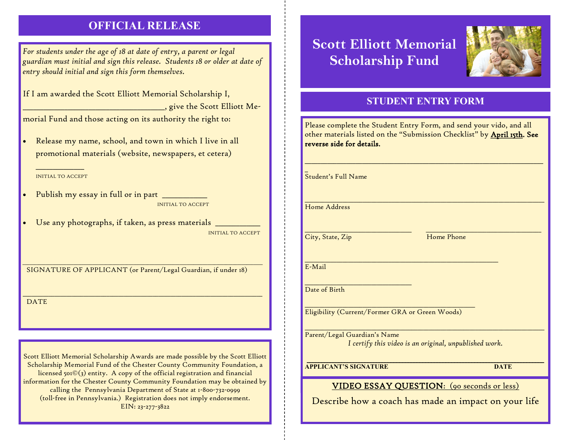## **OFFICIAL RELEASE**

*For students under the age of 18 at date of entry, a parent or legal guardian must initial and sign this release. Students 18 or older at date of entry should initial and sign this form themselves.* 

If I am awarded the Scott Elliott Memorial Scholarship I,

\_\_\_\_\_\_\_\_\_\_\_\_\_\_\_\_\_\_\_\_\_\_\_\_\_\_\_\_\_\_\_\_\_\_\_\_\_\_\_\_\_, give the Scott Elliott Me-

morial Fund and those acting on its authority the right to:

 Release my name, school, and town in which I live in all promotional materials (website, newspapers, et cetera)

\_\_\_\_\_\_\_\_\_\_\_\_\_\_ INITIAL TO ACCEPT

- Publish my essay in full or in part **with the U** INITIAL TO ACCEPT
- Use any photographs, if taken, as press materials \_\_\_\_\_\_\_\_\_\_\_\_\_ INITIAL TO ACCEPT

SIGNATURE OF APPLICANT (or Parent/Legal Guardian, if under 18)

*\_\_\_\_\_\_\_\_\_\_\_\_\_\_\_\_\_\_\_\_\_\_\_\_\_\_\_\_\_\_\_\_\_\_\_\_\_\_\_\_\_\_\_\_\_\_\_\_\_\_\_\_\_\_\_\_\_\_\_\_\_\_\_\_\_\_\_\_\_\_\_\_\_\_\_\_\_\_\_\_\_\_\_\_\_\_\_\_\_\_\_\_\_\_\_\_\_\_\_\_\_\_\_\_*

\_\_\_\_\_\_\_\_\_\_\_\_\_\_\_\_\_\_\_\_\_\_\_\_\_\_\_\_\_\_\_\_\_\_\_\_\_\_\_\_\_\_\_\_\_\_\_\_\_\_\_\_\_\_\_\_\_\_\_\_\_\_\_\_\_\_\_\_\_\_\_\_\_\_\_\_\_\_\_\_\_\_\_

**DATE** 

Scott Elliott Memorial Scholarship Awards are made possible by the Scott Elliott Scholarship Memorial Fund of the Chester County Community Foundation, a licensed 501©(3) entity. A copy of the official registration and financial information for the Chester County Community Foundation may be obtained by calling the Pennsylvania Department of State at 1-800-732-0999 (toll-free in Pennsylvania.) Registration does not imply endorsement. EIN: 23-277-3822

# **Scott Elliott Memorial Scholarship Fund**



#### **STUDENT ENTRY FORM**

| Please complete the Student Entry Form, and send your vido, and all<br>other materials listed on the "Submission Checklist" by <u>April 15th</u> . S <b>ee</b><br>reverse side for details. |             |
|---------------------------------------------------------------------------------------------------------------------------------------------------------------------------------------------|-------------|
| Student's Full Name                                                                                                                                                                         |             |
| Home Address                                                                                                                                                                                |             |
| City, State, Zip                                                                                                                                                                            | Home Phone  |
| E-Mail                                                                                                                                                                                      |             |
| Date of Birth                                                                                                                                                                               |             |
| Eligibility (Current/Former GRA or Green Woods)                                                                                                                                             |             |
| Parent/Legal Guardian's Name<br>I certify this video is an original, unpublished work.                                                                                                      |             |
| <b>APPLICANT'S SIGNATURE</b>                                                                                                                                                                | <b>DATE</b> |
| <b>VIDEO ESSAY QUESTION:</b> (90 seconds or less)                                                                                                                                           |             |

Describe how a coach has made an impact on your life